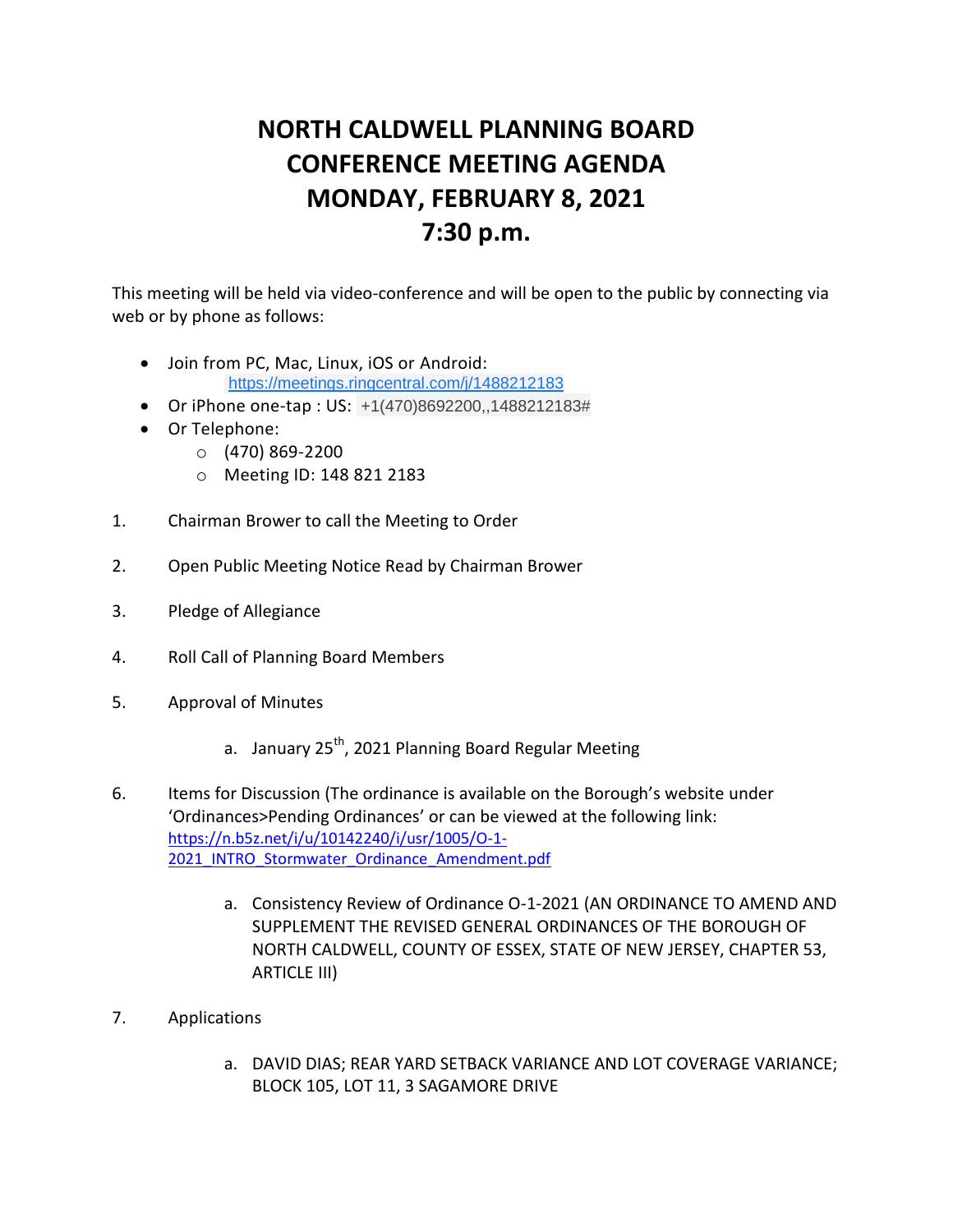## **NORTH CALDWELL PLANNING BOARD CONFERENCE MEETING AGENDA MONDAY, FEBRUARY 8, 2021 7:30 p.m.**

This meeting will be held via video-conference and will be open to the public by connecting via web or by phone as follows:

- Join from PC, Mac, Linux, iOS or Android: [https://meetings.ringcentral.com/j/1488212183](https://www.google.com/url?q=https://meetings.ringcentral.com/j/1488212183&sa=D&source=calendar&ust=1612804964829000&usg=AOvVaw1dn9zTznuuvR_Q3zO9anbF)
- Or iPhone one-tap : US: +1(470)8692200,,1488212183#
- Or Telephone:
	- $O$  (470) 869-2200
	- o Meeting ID: 148 821 2183
- 1. Chairman Brower to call the Meeting to Order
- 2. Open Public Meeting Notice Read by Chairman Brower
- 3. Pledge of Allegiance
- 4. Roll Call of Planning Board Members
- 5. Approval of Minutes
	- a. January 25<sup>th</sup>, 2021 Planning Board Regular Meeting
- 6. Items for Discussion (The ordinance is available on the Borough's website under 'Ordinances>Pending Ordinances' or can be viewed at the following link: [https://n.b5z.net/i/u/10142240/i/usr/1005/O-1-](https://n.b5z.net/i/u/10142240/i/usr/1005/O-1-2021_INTRO_Stormwater_Ordinance_Amendment.pdf) 2021 INTRO Stormwater Ordinance Amendment.pdf
	- a. Consistency Review of Ordinance O-1-2021 (AN ORDINANCE TO AMEND AND SUPPLEMENT THE REVISED GENERAL ORDINANCES OF THE BOROUGH OF NORTH CALDWELL, COUNTY OF ESSEX, STATE OF NEW JERSEY, CHAPTER 53, ARTICLE III)
- 7. Applications
	- a. DAVID DIAS; REAR YARD SETBACK VARIANCE AND LOT COVERAGE VARIANCE; BLOCK 105, LOT 11, 3 SAGAMORE DRIVE